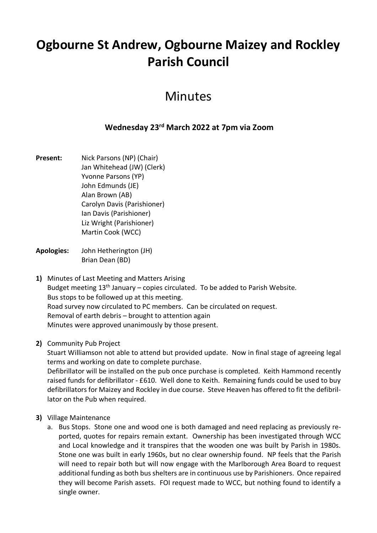# **Ogbourne St Andrew, Ogbourne Maizey and Rockley Parish Council**

## Minutes

### **Wednesday 23rd March 2022 at 7pm via Zoom**

- **Present:** Nick Parsons (NP) (Chair) Jan Whitehead (JW) (Clerk) Yvonne Parsons (YP) John Edmunds (JE) Alan Brown (AB) Carolyn Davis (Parishioner) Ian Davis (Parishioner) Liz Wright (Parishioner) Martin Cook (WCC)
- **Apologies:** John Hetherington (JH) Brian Dean (BD)
- **1)** Minutes of Last Meeting and Matters Arising Budget meeting  $13<sup>th</sup>$  January – copies circulated. To be added to Parish Website. Bus stops to be followed up at this meeting. Road survey now circulated to PC members. Can be circulated on request. Removal of earth debris – brought to attention again Minutes were approved unanimously by those present.

#### **2)** Community Pub Project

Stuart Williamson not able to attend but provided update. Now in final stage of agreeing legal terms and working on date to complete purchase.

Defibrillator will be installed on the pub once purchase is completed. Keith Hammond recently raised funds for defibrillator - £610. Well done to Keith. Remaining funds could be used to buy defibrillators for Maizey and Rockley in due course. Steve Heaven has offered to fit the defibrillator on the Pub when required.

- **3)** Village Maintenance
	- a. Bus Stops. Stone one and wood one is both damaged and need replacing as previously reported, quotes for repairs remain extant. Ownership has been investigated through WCC and Local knowledge and it transpires that the wooden one was built by Parish in 1980s. Stone one was built in early 1960s, but no clear ownership found. NP feels that the Parish will need to repair both but will now engage with the Marlborough Area Board to request additional funding as both bus shelters are in continuous use by Parishioners. Once repaired they will become Parish assets. FOI request made to WCC, but nothing found to identify a single owner.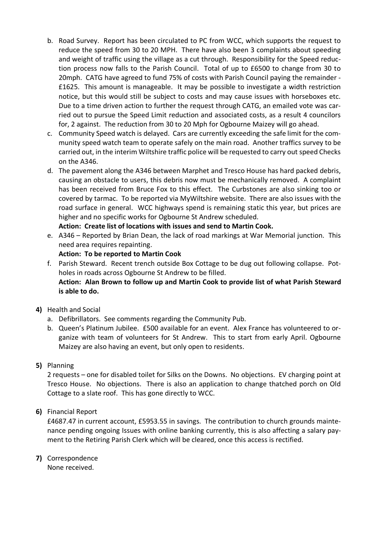- b. Road Survey. Report has been circulated to PC from WCC, which supports the request to reduce the speed from 30 to 20 MPH. There have also been 3 complaints about speeding and weight of traffic using the village as a cut through. Responsibility for the Speed reduction process now falls to the Parish Council. Total of up to £6500 to change from 30 to 20mph. CATG have agreed to fund 75% of costs with Parish Council paying the remainder - £1625. This amount is manageable. It may be possible to investigate a width restriction notice, but this would still be subject to costs and may cause issues with horseboxes etc. Due to a time driven action to further the request through CATG, an emailed vote was carried out to pursue the Speed Limit reduction and associated costs, as a result 4 councilors for, 2 against. The reduction from 30 to 20 Mph for Ogbourne Maizey will go ahead.
- c. Community Speed watch is delayed. Cars are currently exceeding the safe limit for the community speed watch team to operate safely on the main road. Another traffics survey to be carried out, in the interim Wiltshire traffic police will be requested to carry out speed Checks on the A346.
- d. The pavement along the A346 between Marphet and Tresco House has hard packed debris, causing an obstacle to users, this debris now must be mechanically removed. A complaint has been received from Bruce Fox to this effect. The Curbstones are also sinking too or covered by tarmac. To be reported via MyWiltshire website. There are also issues with the road surface in general. WCC highways spend is remaining static this year, but prices are higher and no specific works for Ogbourne St Andrew scheduled.

**Action: Create list of locations with issues and send to Martin Cook.**

e. A346 – Reported by Brian Dean, the lack of road markings at War Memorial junction. This need area requires repainting.

#### **Action: To be reported to Martin Cook**

f. Parish Steward. Recent trench outside Box Cottage to be dug out following collapse. Potholes in roads across Ogbourne St Andrew to be filled. **Action: Alan Brown to follow up and Martin Cook to provide list of what Parish Steward is able to do.**

#### **4)** Health and Social

- a. Defibrillators. See comments regarding the Community Pub.
- b. Queen's Platinum Jubilee. £500 available for an event. Alex France has volunteered to organize with team of volunteers for St Andrew. This to start from early April. Ogbourne Maizey are also having an event, but only open to residents.
- **5)** Planning

2 requests – one for disabled toilet for Silks on the Downs. No objections. EV charging point at Tresco House. No objections. There is also an application to change thatched porch on Old Cottage to a slate roof. This has gone directly to WCC.

**6)** Financial Report

£4687.47 in current account, £5953.55 in savings. The contribution to church grounds maintenance pending ongoing Issues with online banking currently, this is also affecting a salary payment to the Retiring Parish Clerk which will be cleared, once this access is rectified.

**7)** Correspondence

None received.